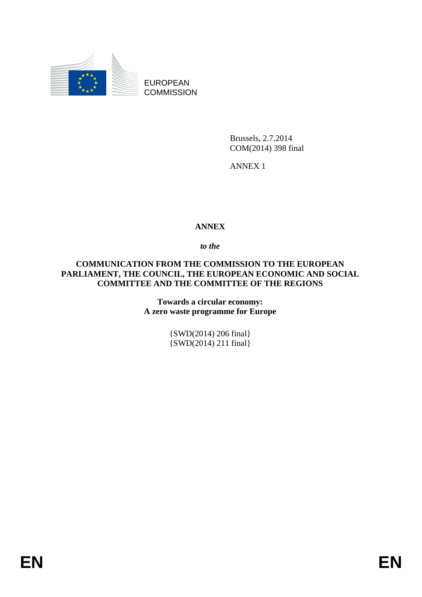

EUROPEAN **COMMISSION** 

> Brussels, 2.7.2014 COM(2014) 398 final

ANNEX 1

## **ANNEX**

*to the* 

**COMMUNICATION FROM THE COMMISSION TO THE EUROPEAN PARLIAMENT, THE COUNCIL, THE EUROPEAN ECONOMIC AND SOCIAL COMMITTEE AND THE COMMITTEE OF THE REGIONS**

> **Towards a circular economy: A zero waste programme for Europe**

> > {SWD(2014) 206 final} {SWD(2014) 211 final}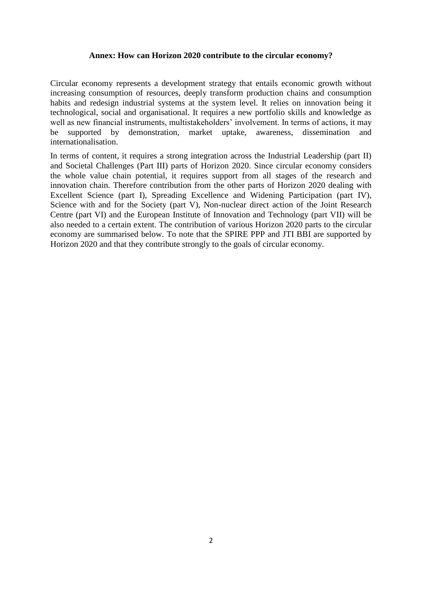## **Annex: How can Horizon 2020 contribute to the circular economy?**

Circular economy represents a development strategy that entails economic growth without increasing consumption of resources, deeply transform production chains and consumption habits and redesign industrial systems at the system level. It relies on innovation being it technological, social and organisational. It requires a new portfolio skills and knowledge as well as new financial instruments, multistakeholders' involvement. In terms of actions, it may be supported by demonstration, market uptake, awareness, dissemination and be supported by demonstration, market uptake, awareness, dissemination and internationalisation.

In terms of content, it requires a strong integration across the Industrial Leadership (part II) and Societal Challenges (Part III) parts of Horizon 2020. Since circular economy considers the whole value chain potential, it requires support from all stages of the research and innovation chain. Therefore contribution from the other parts of Horizon 2020 dealing with Excellent Science (part I), Spreading Excellence and Widening Participation (part IV), Science with and for the Society (part V), Non-nuclear direct action of the Joint Research Centre (part VI) and the European Institute of Innovation and Technology (part VII) will be also needed to a certain extent. The contribution of various Horizon 2020 parts to the circular economy are summarised below. To note that the SPIRE PPP and JTI BBI are supported by Horizon 2020 and that they contribute strongly to the goals of circular economy.